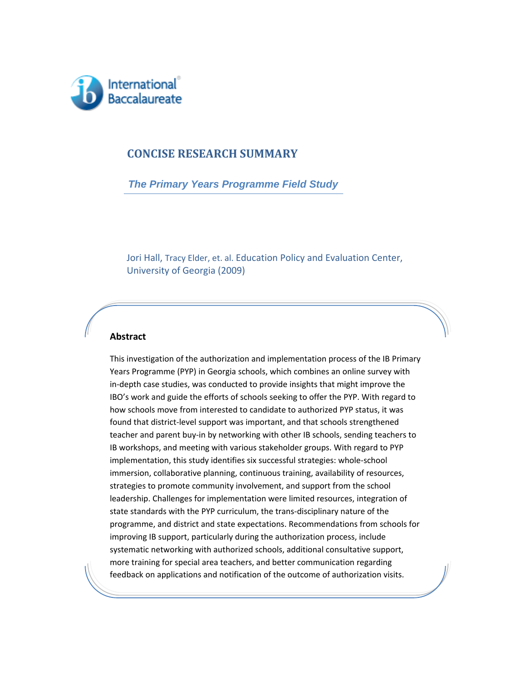

### **CONCISE RESEARCH SUMMARY**

 *The Primary Years Programme Field Study*

 Jori Hall, Tracy Elder, et. al. Education Policy and Evaluation Center, University of Georgia (2009)

#### **Abstract**

7

This investigation of the authorization and implementation process of the IB Primary Years Programme (PYP) in Georgia schools, which combines an online survey with in‐depth case studies, was conducted to provide insights that might improve the IBO's work and guide the efforts of schools seeking to offer the PYP. With regard to how schools move from interested to candidate to authorized PYP status, it was found that district-level support was important, and that schools strengthened teacher and parent buy‐in by networking with other IB schools, sending teachers to IB workshops, and meeting with various stakeholder groups. With regard to PYP implementation, this study identifies six successful strategies: whole-school immersion, collaborative planning, continuous training, availability of resources, strategies to promote community involvement, and support from the school leadership. Challenges for implementation were limited resources, integration of state standards with the PYP curriculum, the trans‐disciplinary nature of the programme, and district and state expectations. Recommendations from schools for improving IB support, particularly during the authorization process, include systematic networking with authorized schools, additional consultative support, more training for special area teachers, and better communication regarding feedback on applications and notification of the outcome of authorization visits.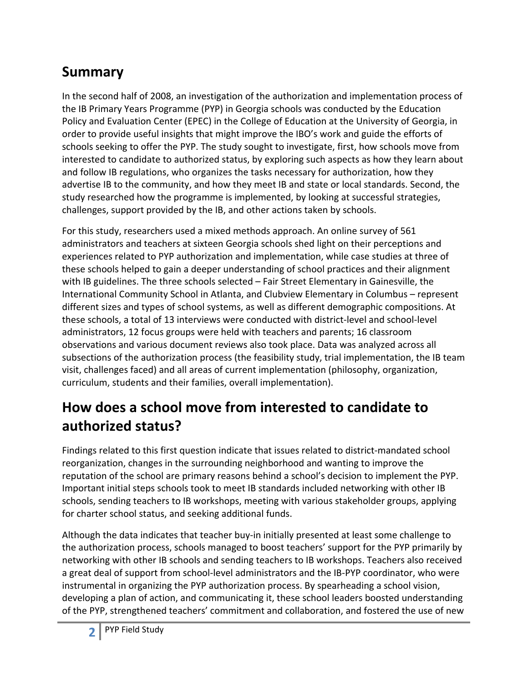# **Summary**

In the second half of 2008, an investigation of the authorization and implementation process of the IB Primary Years Programme (PYP) in Georgia schools was conducted by the Education Policy and Evaluation Center (EPEC) in the College of Education at the University of Georgia, in order to provide useful insights that might improve the IBO's work and guide the efforts of schools seeking to offer the PYP. The study sought to investigate, first, how schools move from interested to candidate to authorized status, by exploring such aspects as how they learn about and follow IB regulations, who organizes the tasks necessary for authorization, how they advertise IB to the community, and how they meet IB and state or local standards. Second, the study researched how the programme is implemented, by looking at successful strategies, challenges, support provided by the IB, and other actions taken by schools.

For this study, researchers used a mixed methods approach. An online survey of 561 administrators and teachers at sixteen Georgia schools shed light on their perceptions and experiences related to PYP authorization and implementation, while case studies at three of these schools helped to gain a deeper understanding of school practices and their alignment with IB guidelines. The three schools selected – Fair Street Elementary in Gainesville, the International Community School in Atlanta, and Clubview Elementary in Columbus – represent different sizes and types of school systems, as well as different demographic compositions. At these schools, a total of 13 interviews were conducted with district‐level and school‐level administrators, 12 focus groups were held with teachers and parents; 16 classroom observations and various document reviews also took place. Data was analyzed across all subsections of the authorization process (the feasibility study, trial implementation, the IB team visit, challenges faced) and all areas of current implementation (philosophy, organization, curriculum, students and their families, overall implementation).

# **How does a school move from interested to candidate to authorized status?**

Findings related to this first question indicate that issues related to district‐mandated school reorganization, changes in the surrounding neighborhood and wanting to improve the reputation of the school are primary reasons behind a school's decision to implement the PYP. Important initial steps schools took to meet IB standards included networking with other IB schools, sending teachers to IB workshops, meeting with various stakeholder groups, applying for charter school status, and seeking additional funds.

Although the data indicates that teacher buy‐in initially presented at least some challenge to the authorization process, schools managed to boost teachers' support for the PYP primarily by networking with other IB schools and sending teachers to IB workshops. Teachers also received a great deal of support from school‐level administrators and the IB‐PYP coordinator, who were instrumental in organizing the PYP authorization process. By spearheading a school vision, developing a plan of action, and communicating it, these school leaders boosted understanding of the PYP, strengthened teachers' commitment and collaboration, and fostered the use of new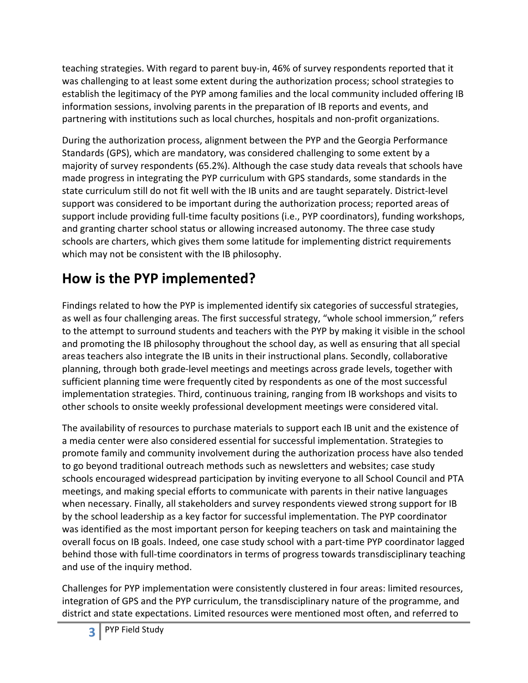teaching strategies. With regard to parent buy‐in, 46% of survey respondents reported that it was challenging to at least some extent during the authorization process; school strategies to establish the legitimacy of the PYP among families and the local community included offering IB information sessions, involving parents in the preparation of IB reports and events, and partnering with institutions such as local churches, hospitals and non‐profit organizations.

During the authorization process, alignment between the PYP and the Georgia Performance Standards (GPS), which are mandatory, was considered challenging to some extent by a majority of survey respondents (65.2%). Although the case study data reveals that schools have made progress in integrating the PYP curriculum with GPS standards, some standards in the state curriculum still do not fit well with the IB units and are taught separately. District‐level support was considered to be important during the authorization process; reported areas of support include providing full‐time faculty positions (i.e., PYP coordinators), funding workshops, and granting charter school status or allowing increased autonomy. The three case study schools are charters, which gives them some latitude for implementing district requirements which may not be consistent with the IB philosophy.

# **How is the PYP implemented?**

Findings related to how the PYP is implemented identify six categories of successful strategies, as well as four challenging areas. The first successful strategy, "whole school immersion," refers to the attempt to surround students and teachers with the PYP by making it visible in the school and promoting the IB philosophy throughout the school day, as well as ensuring that all special areas teachers also integrate the IB units in their instructional plans. Secondly, collaborative planning, through both grade‐level meetings and meetings across grade levels, together with sufficient planning time were frequently cited by respondents as one of the most successful implementation strategies. Third, continuous training, ranging from IB workshops and visits to other schools to onsite weekly professional development meetings were considered vital.

The availability of resources to purchase materials to support each IB unit and the existence of a media center were also considered essential for successful implementation. Strategies to promote family and community involvement during the authorization process have also tended to go beyond traditional outreach methods such as newsletters and websites; case study schools encouraged widespread participation by inviting everyone to all School Council and PTA meetings, and making special efforts to communicate with parents in their native languages when necessary. Finally, all stakeholders and survey respondents viewed strong support for IB by the school leadership as a key factor for successful implementation. The PYP coordinator was identified as the most important person for keeping teachers on task and maintaining the overall focus on IB goals. Indeed, one case study school with a part‐time PYP coordinator lagged behind those with full-time coordinators in terms of progress towards transdisciplinary teaching and use of the inquiry method.

Challenges for PYP implementation were consistently clustered in four areas: limited resources, integration of GPS and the PYP curriculum, the transdisciplinary nature of the programme, and district and state expectations. Limited resources were mentioned most often, and referred to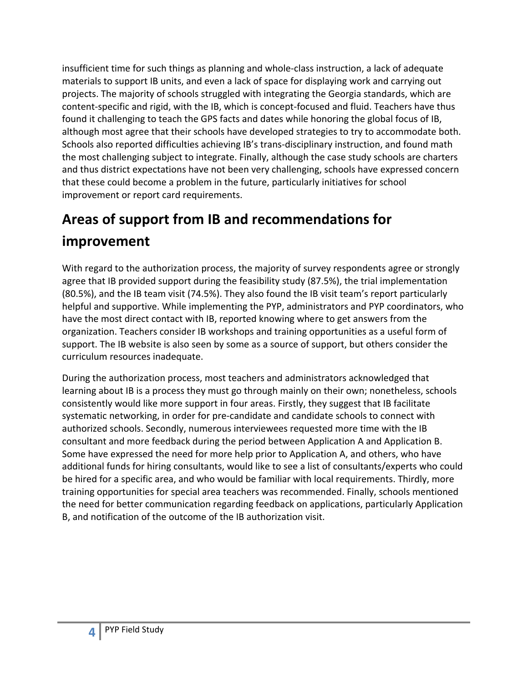insufficient time for such things as planning and whole‐class instruction, a lack of adequate materials to support IB units, and even a lack of space for displaying work and carrying out projects. The majority of schools struggled with integrating the Georgia standards, which are content‐specific and rigid, with the IB, which is concept‐focused and fluid. Teachers have thus found it challenging to teach the GPS facts and dates while honoring the global focus of IB, although most agree that their schools have developed strategies to try to accommodate both. Schools also reported difficulties achieving IB's trans‐disciplinary instruction, and found math the most challenging subject to integrate. Finally, although the case study schools are charters and thus district expectations have not been very challenging, schools have expressed concern that these could become a problem in the future, particularly initiatives for school improvement or report card requirements.

# **Areas of support from IB and recommendations for improvement**

With regard to the authorization process, the majority of survey respondents agree or strongly agree that IB provided support during the feasibility study (87.5%), the trial implementation (80.5%), and the IB team visit (74.5%). They also found the IB visit team's report particularly helpful and supportive. While implementing the PYP, administrators and PYP coordinators, who have the most direct contact with IB, reported knowing where to get answers from the organization. Teachers consider IB workshops and training opportunities as a useful form of support. The IB website is also seen by some as a source of support, but others consider the curriculum resources inadequate.

During the authorization process, most teachers and administrators acknowledged that learning about IB is a process they must go through mainly on their own; nonetheless, schools consistently would like more support in four areas. Firstly, they suggest that IB facilitate systematic networking, in order for pre‐candidate and candidate schools to connect with authorized schools. Secondly, numerous interviewees requested more time with the IB consultant and more feedback during the period between Application A and Application B. Some have expressed the need for more help prior to Application A, and others, who have additional funds for hiring consultants, would like to see a list of consultants/experts who could be hired for a specific area, and who would be familiar with local requirements. Thirdly, more training opportunities for special area teachers was recommended. Finally, schools mentioned the need for better communication regarding feedback on applications, particularly Application B, and notification of the outcome of the IB authorization visit.